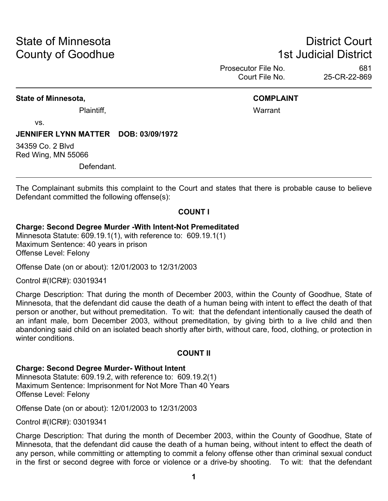# State of Minnesota **District Court County of Goodhue 1st Judicial District** 6. The 1st Judicial District

Prosecutor File No. 681 Court File No. 25-CR-22-869

# **State of Minnesota, COMPLAINT**

Plaintiff, National According to the Market Warrant Warrant

vs.

# **JENNIFER LYNN MATTER DOB: 03/09/1972**

34359 Co. 2 Blvd Red Wing, MN 55066

Defendant.

The Complainant submits this complaint to the Court and states that there is probable cause to believe Defendant committed the following offense(s):

# **COUNT I**

### **Charge: Second Degree Murder -With Intent-Not Premeditated**

Minnesota Statute: 609.19.1(1), with reference to: 609.19.1(1) Maximum Sentence: 40 years in prison Offense Level: Felony

Offense Date (on or about): 12/01/2003 to 12/31/2003

Control #(ICR#): 03019341

Charge Description: That during the month of December 2003, within the County of Goodhue, State of Minnesota, that the defendant did cause the death of a human being with intent to effect the death of that person or another, but without premeditation. To wit: that the defendant intentionally caused the death of an infant male, born December 2003, without premeditation, by giving birth to a live child and then abandoning said child on an isolated beach shortly after birth, without care, food, clothing, or protection in winter conditions

# **COUNT II**

#### **Charge: Second Degree Murder- Without Intent**

Minnesota Statute: 609.19.2, with reference to: 609.19.2(1) Maximum Sentence: Imprisonment for Not More Than 40 Years Offense Level: Felony

Offense Date (on or about): 12/01/2003 to 12/31/2003

Control #(ICR#): 03019341

Charge Description: That during the month of December 2003, within the County of Goodhue, State of Minnesota, that the defendant did cause the death of a human being, without intent to effect the death of any person, while committing or attempting to commit a felony offense other than criminal sexual conduct in the first or second degree with force or violence or a drive-by shooting. To wit: that the defendant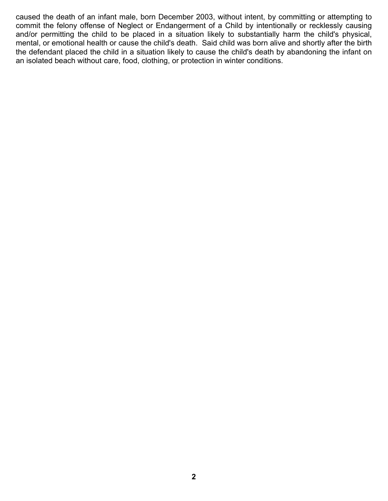caused the death of an infant male, born December 2003, without intent, by committing or attempting to commit the felony offense of Neglect or Endangerment of a Child by intentionally or recklessly causing and/or permitting the child to be placed in a situation likely to substantially harm the child's physical, mental, or emotional health or cause the child's death. Said child was born alive and shortly after the birth the defendant placed the child in a situation likely to cause the child's death by abandoning the infant on an isolated beach without care, food, clothing, or protection in winter conditions.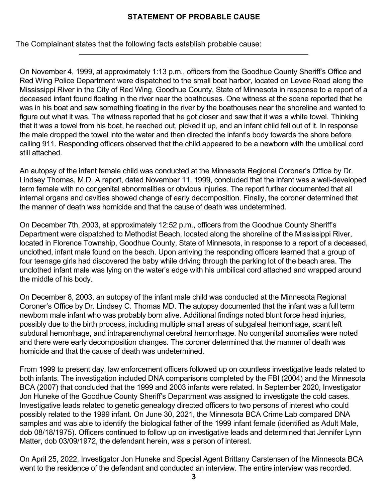# **STATEMENT OF PROBABLE CAUSE**

The Complainant states that the following facts establish probable cause:

On November 4, 1999, at approximately 1:13 p.m., officers from the Goodhue County Sheriff's Office and Red Wing Police Department were dispatched to the small boat harbor, located on Levee Road along the Mississippi River in the City of Red Wing, Goodhue County, State of Minnesota in response to a report of a deceased infant found floating in the river near the boathouses. One witness at the scene reported that he was in his boat and saw something floating in the river by the boathouses near the shoreline and wanted to figure out what it was. The witness reported that he got closer and saw that it was a white towel. Thinking that it was a towel from his boat, he reached out, picked it up, and an infant child fell out of it. In response the male dropped the towel into the water and then directed the infant's body towards the shore before calling 911. Responding officers observed that the child appeared to be a newborn with the umbilical cord still attached.

An autopsy of the infant female child was conducted at the Minnesota Regional Coroner's Office by Dr. Lindsey Thomas, M.D. A report, dated November 11, 1999, concluded that the infant was a well-developed term female with no congenital abnormalities or obvious injuries. The report further documented that all internal organs and cavities showed change of early decomposition. Finally, the coroner determined that the manner of death was homicide and that the cause of death was undetermined.

On December 7th, 2003, at approximately 12:52 p.m., officers from the Goodhue County Sheriff's Department were dispatched to Methodist Beach, located along the shoreline of the Mississippi River, located in Florence Township, Goodhue County, State of Minnesota, in response to a report of a deceased, unclothed, infant male found on the beach. Upon arriving the responding officers learned that a group of four teenage girls had discovered the baby while driving through the parking lot of the beach area. The unclothed infant male was lying on the water's edge with his umbilical cord attached and wrapped around the middle of his body.

On December 8, 2003, an autopsy of the infant male child was conducted at the Minnesota Regional Coroner's Office by Dr. Lindsey C. Thomas MD. The autopsy documented that the infant was a full term newborn male infant who was probably born alive. Additional findings noted blunt force head injuries, possibly due to the birth process, including multiple small areas of subgaleal hemorrhage, scant left subdural hemorrhage, and intraparenchymal cerebral hemorrhage. No congenital anomalies were noted and there were early decomposition changes. The coroner determined that the manner of death was homicide and that the cause of death was undetermined.

From 1999 to present day, law enforcement officers followed up on countless investigative leads related to both infants. The investigation included DNA comparisons completed by the FBI (2004) and the Minnesota BCA (2007) that concluded that the 1999 and 2003 infants were related. In September 2020, Investigator Jon Huneke of the Goodhue County Sheriff's Department was assigned to investigate the cold cases. Investigative leads related to genetic genealogy directed officers to two persons of interest who could possibly related to the 1999 infant. On June 30, 2021, the Minnesota BCA Crime Lab compared DNA samples and was able to identify the biological father of the 1999 infant female (identified as Adult Male, dob 08/18/1975). Officers continued to follow up on investigative leads and determined that Jennifer Lynn Matter, dob 03/09/1972, the defendant herein, was a person of interest.

On April 25, 2022, Investigator Jon Huneke and Special Agent Brittany Carstensen of the Minnesota BCA went to the residence of the defendant and conducted an interview. The entire interview was recorded.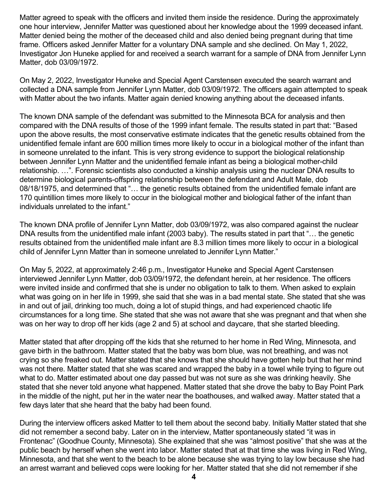Matter agreed to speak with the officers and invited them inside the residence. During the approximately one hour interview, Jennifer Matter was questioned about her knowledge about the 1999 deceased infant. Matter denied being the mother of the deceased child and also denied being pregnant during that time frame. Officers asked Jennifer Matter for a voluntary DNA sample and she declined. On May 1, 2022, Investigator Jon Huneke applied for and received a search warrant for a sample of DNA from Jennifer Lynn Matter, dob 03/09/1972.

On May 2, 2022, Investigator Huneke and Special Agent Carstensen executed the search warrant and collected a DNA sample from Jennifer Lynn Matter, dob 03/09/1972. The officers again attempted to speak with Matter about the two infants. Matter again denied knowing anything about the deceased infants.

The known DNA sample of the defendant was submitted to the Minnesota BCA for analysis and then compared with the DNA results of those of the 1999 infant female. The results stated in part that: "Based upon the above results, the most conservative estimate indicates that the genetic results obtained from the unidentified female infant are 600 million times more likely to occur in a biological mother of the infant than in someone unrelated to the infant. This is very strong evidence to support the biological relationship between Jennifer Lynn Matter and the unidentified female infant as being a biological mother-child relationship. …". Forensic scientists also conducted a kinship analysis using the nuclear DNA results to determine biological parents-offspring relationship between the defendant and Adult Male, dob 08/18/1975, and determined that "… the genetic results obtained from the unidentified female infant are 170 quintillion times more likely to occur in the biological mother and biological father of the infant than individuals unrelated to the infant."

The known DNA profile of Jennifer Lynn Matter, dob 03/09/1972, was also compared against the nuclear DNA results from the unidentified male infant (2003 baby). The results stated in part that "… the genetic results obtained from the unidentified male infant are 8.3 million times more likely to occur in a biological child of Jennifer Lynn Matter than in someone unrelated to Jennifer Lynn Matter."

On May 5, 2022, at approximately 2:46 p.m., Investigator Huneke and Special Agent Carstensen interviewed Jennifer Lynn Matter, dob 03/09/1972, the defendant herein, at her residence. The officers were invited inside and confirmed that she is under no obligation to talk to them. When asked to explain what was going on in her life in 1999, she said that she was in a bad mental state. She stated that she was in and out of jail, drinking too much, doing a lot of stupid things, and had experienced chaotic life circumstances for a long time. She stated that she was not aware that she was pregnant and that when she was on her way to drop off her kids (age 2 and 5) at school and daycare, that she started bleeding.

Matter stated that after dropping off the kids that she returned to her home in Red Wing, Minnesota, and gave birth in the bathroom. Matter stated that the baby was born blue, was not breathing, and was not crying so she freaked out. Matter stated that she knows that she should have gotten help but that her mind was not there. Matter stated that she was scared and wrapped the baby in a towel while trying to figure out what to do. Matter estimated about one day passed but was not sure as she was drinking heavily. She stated that she never told anyone what happened. Matter stated that she drove the baby to Bay Point Park in the middle of the night, put her in the water near the boathouses, and walked away. Matter stated that a few days later that she heard that the baby had been found.

During the interview officers asked Matter to tell them about the second baby. Initially Matter stated that she did not remember a second baby. Later on in the interview, Matter spontaneously stated "it was in Frontenac" (Goodhue County, Minnesota). She explained that she was "almost positive" that she was at the public beach by herself when she went into labor. Matter stated that at that time she was living in Red Wing, Minnesota, and that she went to the beach to be alone because she was trying to lay low because she had an arrest warrant and believed cops were looking for her. Matter stated that she did not remember if she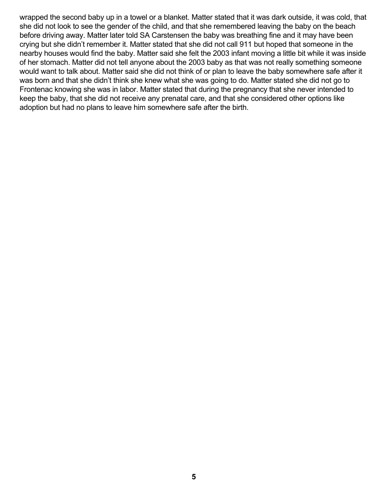wrapped the second baby up in a towel or a blanket. Matter stated that it was dark outside, it was cold, that she did not look to see the gender of the child, and that she remembered leaving the baby on the beach before driving away. Matter later told SA Carstensen the baby was breathing fine and it may have been crying but she didn't remember it. Matter stated that she did not call 911 but hoped that someone in the nearby houses would find the baby. Matter said she felt the 2003 infant moving a little bit while it was inside of her stomach. Matter did not tell anyone about the 2003 baby as that was not really something someone would want to talk about. Matter said she did not think of or plan to leave the baby somewhere safe after it was born and that she didn't think she knew what she was going to do. Matter stated she did not go to Frontenac knowing she was in labor. Matter stated that during the pregnancy that she never intended to keep the baby, that she did not receive any prenatal care, and that she considered other options like adoption but had no plans to leave him somewhere safe after the birth.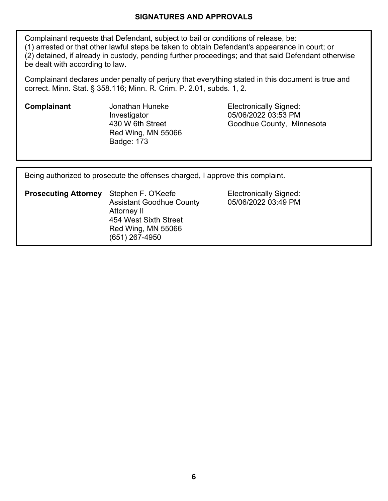# **SIGNATURES AND APPROVALS**

Complainant requests that Defendant, subject to bail or conditions of release, be: (1) arrested or that other lawful steps be taken to obtain Defendant's appearance in court; or (2) detained, if already in custody, pending further proceedings; and that said Defendant otherwise be dealt with according to law.

Complainant declares under penalty of perjury that everything stated in this document is true and correct. Minn. Stat. § 358.116; Minn. R. Crim. P. 2.01, subds. 1, 2.

**Complainant** Jonathan Huneke **Electronically Signed:** Investigator 430 W 6th Street Red Wing, MN 55066 Badge: 173

05/06/2022 03:53 PM Goodhue County, Minnesota

Being authorized to prosecute the offenses charged, I approve this complaint.

| <b>Prosecuting Attorney</b> Stephen F. O'Keefe |                                 |  |  |  |
|------------------------------------------------|---------------------------------|--|--|--|
|                                                | <b>Assistant Goodhue County</b> |  |  |  |
|                                                | Attorney II                     |  |  |  |
|                                                | 454 West Sixth Street           |  |  |  |
|                                                | Red Wing, MN 55066              |  |  |  |
|                                                | $(651)$ 267-4950                |  |  |  |
|                                                |                                 |  |  |  |

**Electronically Signed:** 05/06/2022 03:49 PM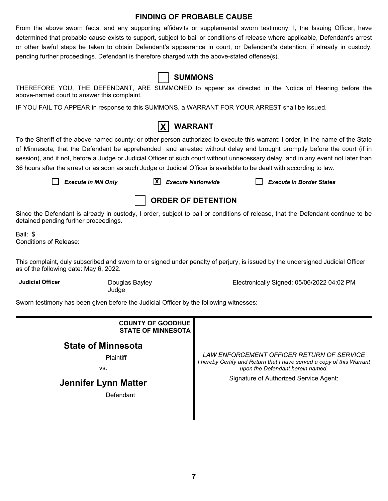# **FINDING OF PROBABLE CAUSE**

From the above sworn facts, and any supporting affidavits or supplemental sworn testimony, I, the Issuing Officer, have determined that probable cause exists to support, subject to bail or conditions of release where applicable, Defendant's arrest or other lawful steps be taken to obtain Defendant's appearance in court, or Defendant's detention, if already in custody, pending further proceedings. Defendant is therefore charged with the above-stated offense(s).

| <b>SUMMONS</b> |
|----------------|
|----------------|

THEREFORE YOU, THE DEFENDANT, ARE SUMMONED to appear as directed in the Notice of Hearing before the above-named court to answer this complaint.

IF YOU FAIL TO APPEAR in response to this SUMMONS, a WARRANT FOR YOUR ARREST shall be issued.



To the Sheriff of the above-named county; or other person authorized to execute this warrant: I order, in the name of the State of Minnesota, that the Defendant be apprehended and arrested without delay and brought promptly before the court (if in session), and if not, before a Judge or Judicial Officer of such court without unnecessary delay, and in any event not later than 36 hours after the arrest or as soon as such Judge or Judicial Officer is available to be dealt with according to law.

*Execute in MN Only* **X** *Execute Nationwide Execute in Border States*



Since the Defendant is already in custody, I order, subject to bail or conditions of release, that the Defendant continue to be detained pending further proceedings.

Bail: \$ Conditions of Release:

This complaint, duly subscribed and sworn to or signed under penalty of perjury, is issued by the undersigned Judicial Officer as of the following date: May 6, 2022.

**Judicial Officer** Douglas Bayley

Judge

Electronically Signed: 05/06/2022 04:02 PM

Sworn testimony has been given before the Judicial Officer by the following witnesses:

| <b>COUNTY OF GOODHUE</b><br><b>STATE OF MINNESOTA</b> |                                                                                                                                                                                                  |
|-------------------------------------------------------|--------------------------------------------------------------------------------------------------------------------------------------------------------------------------------------------------|
| <b>State of Minnesota</b><br>Plaintiff<br>VS.         | LAW ENFORCEMENT OFFICER RETURN OF SERVICE<br>I hereby Certify and Return that I have served a copy of this Warrant<br>upon the Defendant herein named.<br>Signature of Authorized Service Agent: |
| <b>Jennifer Lynn Matter</b><br>Defendant              |                                                                                                                                                                                                  |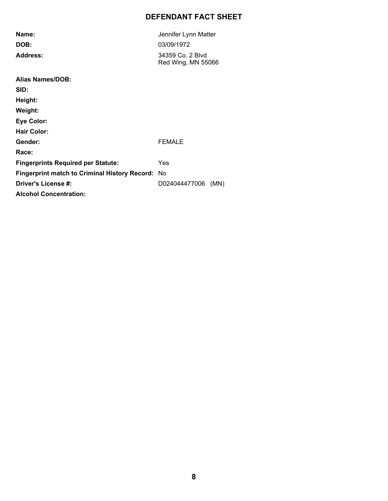# **DEFENDANT FACT SHEET**

| Name:                                                   | Jennifer Lynn Matter                   |  |  |  |
|---------------------------------------------------------|----------------------------------------|--|--|--|
| DOB:                                                    | 03/09/1972                             |  |  |  |
| Address:                                                | 34359 Co. 2 Blvd<br>Red Wing, MN 55066 |  |  |  |
| Alias Names/DOB:                                        |                                        |  |  |  |
| SID:                                                    |                                        |  |  |  |
| Height:                                                 |                                        |  |  |  |
| Weight:                                                 |                                        |  |  |  |
| <b>Eye Color:</b>                                       |                                        |  |  |  |
| <b>Hair Color:</b>                                      |                                        |  |  |  |
| Gender:                                                 | <b>FEMALE</b>                          |  |  |  |
| Race:                                                   |                                        |  |  |  |
| <b>Fingerprints Required per Statute:</b>               | Yes                                    |  |  |  |
| <b>Fingerprint match to Criminal History Record: No</b> |                                        |  |  |  |
| Driver's License #:                                     | D024044477006<br>(MN)                  |  |  |  |
| <b>Alcohol Concentration:</b>                           |                                        |  |  |  |